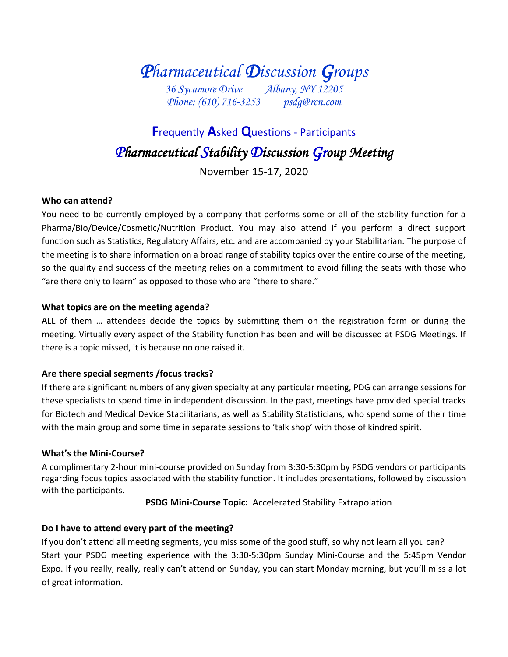*Pharmaceutical Discussion Groups 36 Sycamore Drive Albany, NY 12205*

*Phone: (610) 716-3253 psdg@rcn.com*

# **F**requently **A**sked **Q**uestions - Participants *Pharmaceutical Stability Discussion Group Meeting*

November 15-17, 2020

# **Who can attend?**

You need to be currently employed by a company that performs some or all of the stability function for a Pharma/Bio/Device/Cosmetic/Nutrition Product. You may also attend if you perform a direct support function such as Statistics, Regulatory Affairs, etc. and are accompanied by your Stabilitarian. The purpose of the meeting is to share information on a broad range of stability topics over the entire course of the meeting, so the quality and success of the meeting relies on a commitment to avoid filling the seats with those who "are there only to learn" as opposed to those who are "there to share."

#### **What topics are on the meeting agenda?**

ALL of them … attendees decide the topics by submitting them on the registration form or during the meeting. Virtually every aspect of the Stability function has been and will be discussed at PSDG Meetings. If there is a topic missed, it is because no one raised it.

#### **Are there special segments /focus tracks?**

If there are significant numbers of any given specialty at any particular meeting, PDG can arrange sessions for these specialists to spend time in independent discussion. In the past, meetings have provided special tracks for Biotech and Medical Device Stabilitarians, as well as Stability Statisticians, who spend some of their time with the main group and some time in separate sessions to 'talk shop' with those of kindred spirit.

#### **What's the Mini-Course?**

A complimentary 2-hour mini-course provided on Sunday from 3:30-5:30pm by PSDG vendors or participants regarding focus topics associated with the stability function. It includes presentations, followed by discussion with the participants.

**PSDG Mini-Course Topic:** Accelerated Stability Extrapolation

# **Do I have to attend every part of the meeting?**

If you don't attend all meeting segments, you miss some of the good stuff, so why not learn all you can? Start your PSDG meeting experience with the 3:30-5:30pm Sunday Mini-Course and the 5:45pm Vendor Expo. If you really, really, really can't attend on Sunday, you can start Monday morning, but you'll miss a lot of great information.